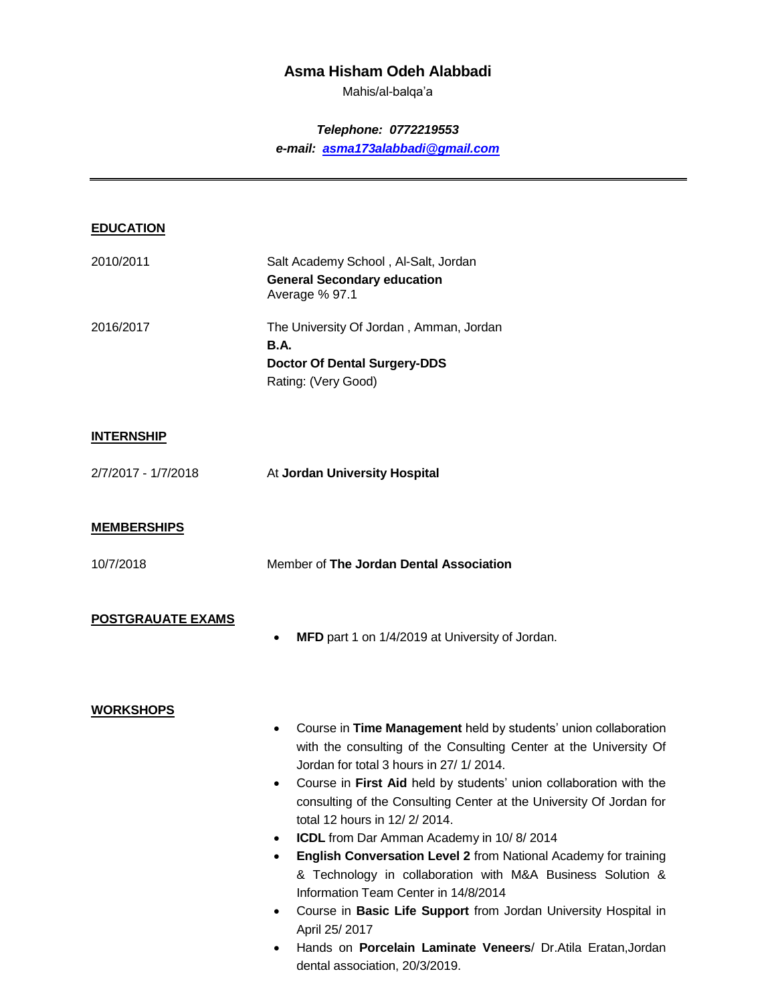# **Asma Hisham Odeh Alabbadi**

Mahis/al-balqa'a

### *Telephone: 0772219553*

*e-mail: [asma173alabbadi@gmail.com](mailto:asma173alabbadi@gmail.com)*

### **EDUCATION**

| 2010/2011 | Salt Academy School, Al-Salt, Jordan                   |
|-----------|--------------------------------------------------------|
|           | <b>General Secondary education</b><br>Average % 97.1   |
| 2016/2017 | The University Of Jordan, Amman, Jordan<br><b>B.A.</b> |
|           | <b>Doctor Of Dental Surgery-DDS</b>                    |
|           | Rating: (Very Good)                                    |
|           |                                                        |

#### **INTERNSHIP**

#### **MEMBERSHIPS**

10/7/2018 Member of **The Jordan Dental Association**

### **POSTGRAUATE EXAMS**

**MFD** part 1 on 1/4/2019 at University of Jordan.

#### **WORKSHOPS**

- Course in **Time Management** held by students' union collaboration with the consulting of the Consulting Center at the University Of Jordan for total 3 hours in 27/ 1/ 2014.
- Course in **First Aid** held by students' union collaboration with the consulting of the Consulting Center at the University Of Jordan for total 12 hours in 12/ 2/ 2014.
- **ICDL** from Dar Amman Academy in 10/8/2014
- **English Conversation Level 2** from National Academy for training & Technology in collaboration with M&A Business Solution & Information Team Center in 14/8/2014
- Course in **Basic Life Support** from Jordan University Hospital in April 25/ 2017
- Hands on **Porcelain Laminate Veneers**/ Dr.Atila Eratan,Jordan dental association, 20/3/2019.